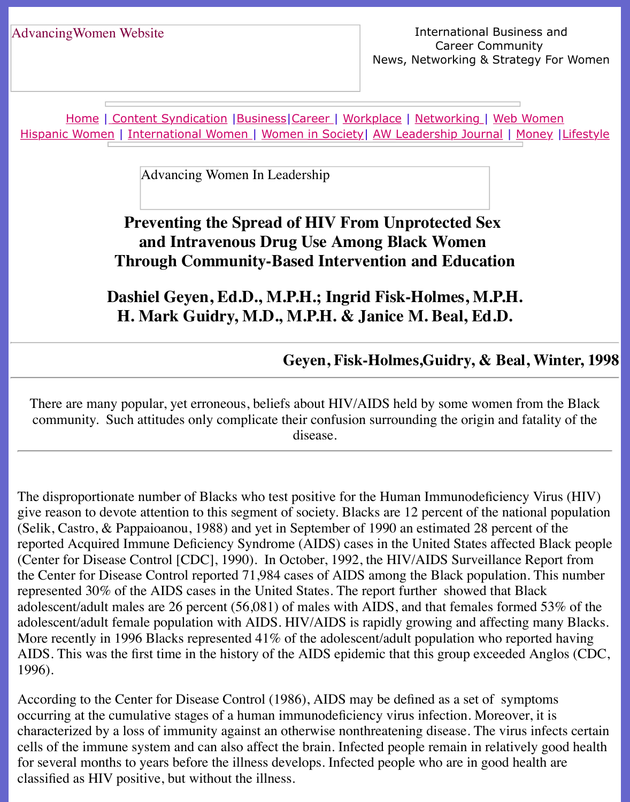Home | Content Syndication | Business | Career | Workplace | Networking | Web Wo Hispanic Women | International Women | Women in Society | AW Leadership Journal | Mon

Advancing Women In Leadership

# **[Preventing the](file:///content.html) [Spread](file:///business.html) [of HIV](file:///awcareer.html) [From Un](file:///workplace.html)p[rotected S](file:///networks.html)[ex](file:///web.html)  [and Intravenou](file:///international.html)[s](file:///Users/nrahman/Desktop/Flash2/womsoc/index.html) [Drug Use](file:///Users/nrahman/Desktop/Flash2/womsoc/index.html) Amo[ng Black Women](file:///awl/awl.html) Through Community-Based Intervention and Education**

# **Dashiel Geyen, Ed.D., M.P.H.; Ingrid Fisk-Holmes, M.P.H. H. Mark Guidry, M.D., M.P.H. & Janice M. Beal, Ed.D.**

**Geyen, Fisk-Holmes, Guidry, & Beal,** 

There are many popular, yet erroneous, beliefs about HIV/AIDS held by some women from community. Such attitudes only complicate their confusion surrounding the origin and fat disease.

The disproportionate number of Blacks who test positive for the Human Immunodeficiency ' give reason to devote attention to this segment of society. Blacks are 12 percent of the nation (Selik, Castro,  $&$  Pappaioanou, 1988) and yet in September of 1990 an estimated 28 percent reported Acquired Immune Deficiency Syndrome (AIDS) cases in the United States affected (Center for Disease Control [CDC], 1990). In October, 1992, the HIV/AIDS Surveillance R the Center for Disease Control reported 71,984 cases of AIDS among the Black population. represented 30% of the AIDS cases in the United States. The report further showed that Black adolescent/adult males are 26 percent (56,081) of males with AIDS, and that females formed adolescent/adult female population with AIDS. HIV/AIDS is rapidly growing and affecting many Blacks. More recently in 1996 Blacks represented  $41\%$  of the adolescent/adult population who report AIDS. This was the first time in the history of the AIDS epidemic that this group exceeded  $A$ 1996).

According to the Center for Disease Control (1986), AIDS may be defined as a set of sympt occurring at the cumulative stages of a human immunodeficiency virus infection. Moreover, characterized by a loss of immunity against an otherwise nonthreatening disease. The virus i cells of the immune system and can also affect the brain. Infected people remain in relatively for several months to years before the illness develops. Infected people who are in good heal classified as HIV positive, but without the illness.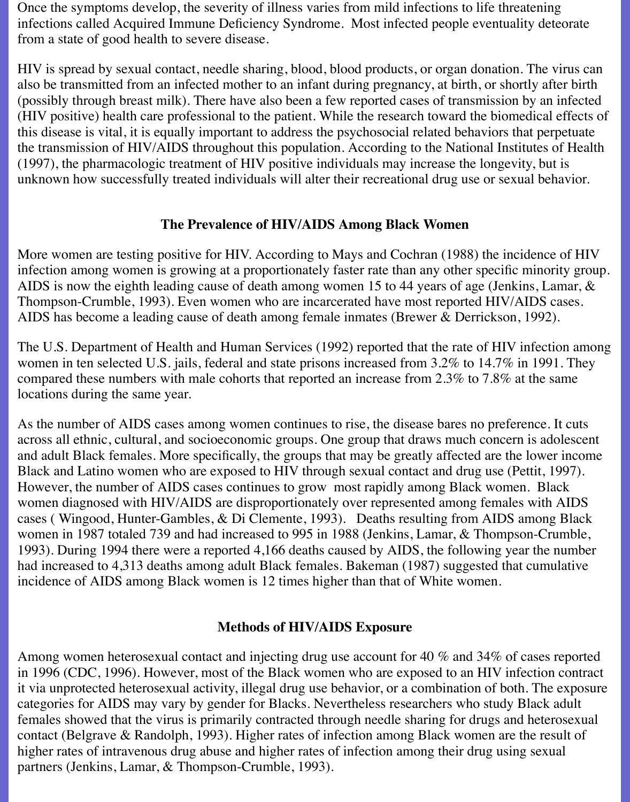Once the symptoms develop, the severity of illness varies from mild infections to life threatening infections called Acquired Immune Deficiency Syndrome. Most infected people eventuality deteorate from a state of good health to severe disease.

HIV is spread by sexual contact, needle sharing, blood, blood products, or organ donation. The virus can also be transmitted from an infected mother to an infant during pregnancy, at birth, or shortly after birth (possibly through breast milk). There have also been a few reported cases of transmission by an infected (HIV positive) health care professional to the patient. While the research toward the biomedical effects of this disease is vital, it is equally important to address the psychosocial related behaviors that perpetuate the transmission of HIV/AIDS throughout this population. According to the National Institutes of Health (1997), the pharmacologic treatment of HIV positive individuals may increase the longevity, but is unknown how successfully treated individuals will alter their recreational drug use or sexual behavior.

### **The Prevalence of HIV/AIDS Among Black Women**

More women are testing positive for HIV. According to Mays and Cochran (1988) the incidence of HIV infection among women is growing at a proportionately faster rate than any other specific minority group. AIDS is now the eighth leading cause of death among women 15 to 44 years of age (Jenkins, Lamar, & Thompson-Crumble, 1993). Even women who are incarcerated have most reported HIV/AIDS cases. AIDS has become a leading cause of death among female inmates (Brewer & Derrickson, 1992).

The U.S. Department of Health and Human Services (1992) reported that the rate of HIV infection among women in ten selected U.S. jails, federal and state prisons increased from 3.2% to 14.7% in 1991. They compared these numbers with male cohorts that reported an increase from 2.3% to 7.8% at the same locations during the same year.

As the number of AIDS cases among women continues to rise, the disease bares no preference. It cuts across all ethnic, cultural, and socioeconomic groups. One group that draws much concern is adolescent and adult Black females. More specifically, the groups that may be greatly affected are the lower income Black and Latino women who are exposed to HIV through sexual contact and drug use (Pettit, 1997). However, the number of AIDS cases continues to grow most rapidly among Black women. Black women diagnosed with HIV/AIDS are disproportionately over represented among females with AIDS cases ( Wingood, Hunter-Gambles, & Di Clemente, 1993). Deaths resulting from AIDS among Black women in 1987 totaled 739 and had increased to 995 in 1988 (Jenkins, Lamar, & Thompson-Crumble, 1993). During 1994 there were a reported 4,166 deaths caused by AIDS, the following year the number had increased to 4,313 deaths among adult Black females. Bakeman (1987) suggested that cumulative incidence of AIDS among Black women is 12 times higher than that of White women.

### **Methods of HIV/AIDS Exposure**

Among women heterosexual contact and injecting drug use account for 40 % and 34% of cases reported in 1996 (CDC, 1996). However, most of the Black women who are exposed to an HIV infection contract it via unprotected heterosexual activity, illegal drug use behavior, or a combination of both. The exposure categories for AIDS may vary by gender for Blacks. Nevertheless researchers who study Black adult females showed that the virus is primarily contracted through needle sharing for drugs and heterosexual contact (Belgrave & Randolph, 1993). Higher rates of infection among Black women are the result of higher rates of intravenous drug abuse and higher rates of infection among their drug using sexual partners (Jenkins, Lamar, & Thompson-Crumble, 1993).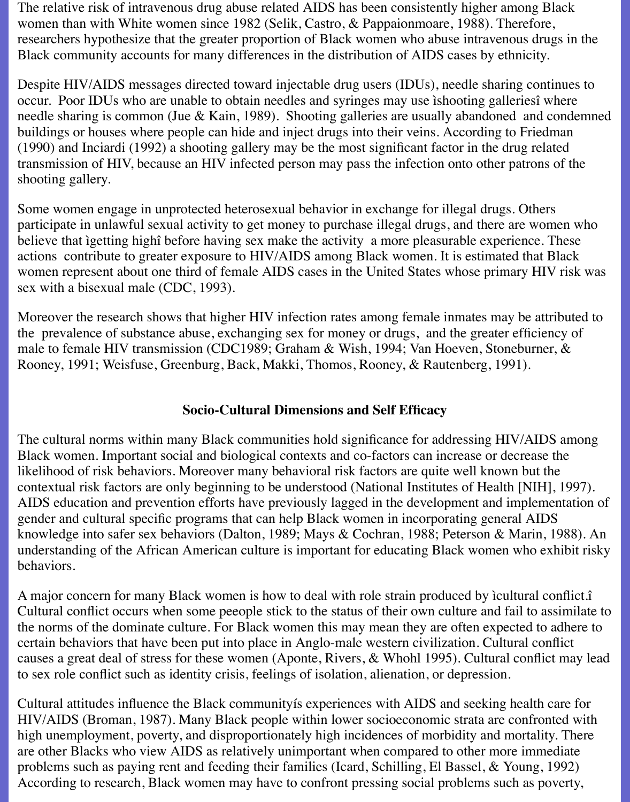The relative risk of intravenous drug abuse related AIDS has been consistently higher among Black women than with White women since 1982 (Selik, Castro, & Pappaionmoare, 1988). Therefore, researchers hypothesize that the greater proportion of Black women who abuse intravenous drugs in the Black community accounts for many differences in the distribution of AIDS cases by ethnicity.

Despite HIV/AIDS messages directed toward injectable drug users (IDUs), needle sharing continues to occur. Poor IDUs who are unable to obtain needles and syringes may use ìshooting galleriesî where needle sharing is common (Jue & Kain, 1989). Shooting galleries are usually abandoned and condemned buildings or houses where people can hide and inject drugs into their veins. According to Friedman (1990) and Inciardi (1992) a shooting gallery may be the most significant factor in the drug related transmission of HIV, because an HIV infected person may pass the infection onto other patrons of the shooting gallery.

Some women engage in unprotected heterosexual behavior in exchange for illegal drugs. Others participate in unlawful sexual activity to get money to purchase illegal drugs, and there are women who believe that ìgetting highî before having sex make the activity a more pleasurable experience. These actions contribute to greater exposure to HIV/AIDS among Black women. It is estimated that Black women represent about one third of female AIDS cases in the United States whose primary HIV risk was sex with a bisexual male (CDC, 1993).

Moreover the research shows that higher HIV infection rates among female inmates may be attributed to the prevalence of substance abuse, exchanging sex for money or drugs, and the greater efficiency of male to female HIV transmission (CDC1989; Graham & Wish, 1994; Van Hoeven, Stoneburner, & Rooney, 1991; Weisfuse, Greenburg, Back, Makki, Thomos, Rooney, & Rautenberg, 1991).

### **Socio-Cultural Dimensions and Self Efficacy**

The cultural norms within many Black communities hold significance for addressing HIV/AIDS among Black women. Important social and biological contexts and co-factors can increase or decrease the likelihood of risk behaviors. Moreover many behavioral risk factors are quite well known but the contextual risk factors are only beginning to be understood (National Institutes of Health [NIH], 1997). AIDS education and prevention efforts have previously lagged in the development and implementation of gender and cultural specific programs that can help Black women in incorporating general AIDS knowledge into safer sex behaviors (Dalton, 1989; Mays & Cochran, 1988; Peterson & Marin, 1988). An understanding of the African American culture is important for educating Black women who exhibit risky behaviors.

A major concern for many Black women is how to deal with role strain produced by ìcultural conflict.î Cultural conflict occurs when some peeople stick to the status of their own culture and fail to assimilate to the norms of the dominate culture. For Black women this may mean they are often expected to adhere to certain behaviors that have been put into place in Anglo-male western civilization. Cultural conflict causes a great deal of stress for these women (Aponte, Rivers, & Whohl 1995). Cultural conflict may lead to sex role conflict such as identity crisis, feelings of isolation, alienation, or depression.

Cultural attitudes influence the Black communityís experiences with AIDS and seeking health care for HIV/AIDS (Broman, 1987). Many Black people within lower socioeconomic strata are confronted with high unemployment, poverty, and disproportionately high incidences of morbidity and mortality. There are other Blacks who view AIDS as relatively unimportant when compared to other more immediate problems such as paying rent and feeding their families (Icard, Schilling, El Bassel, & Young, 1992) According to research, Black women may have to confront pressing social problems such as poverty,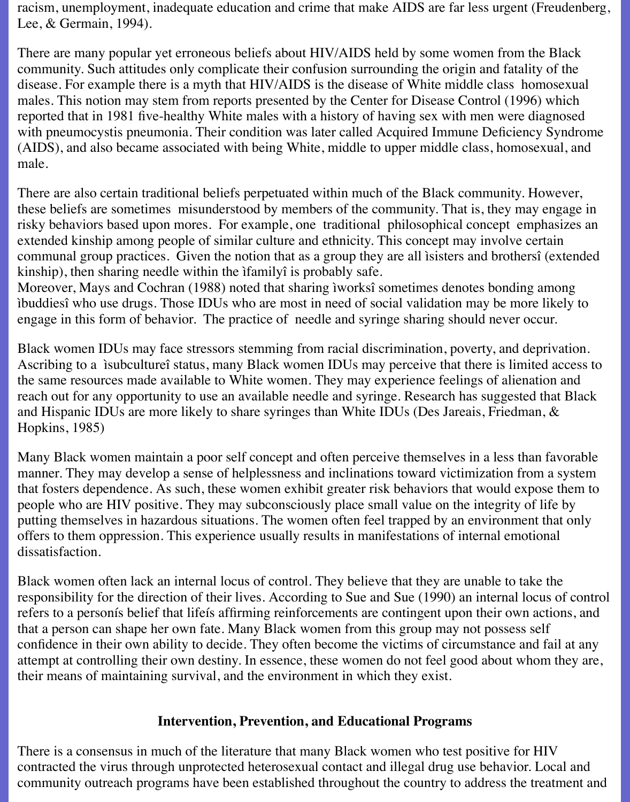racism, unemployment, inadequate education and crime that make AIDS are far less urgent (Freudenberg, Lee, & Germain, 1994).

There are many popular yet erroneous beliefs about HIV/AIDS held by some women from the Black community. Such attitudes only complicate their confusion surrounding the origin and fatality of the disease. For example there is a myth that HIV/AIDS is the disease of White middle class homosexual males. This notion may stem from reports presented by the Center for Disease Control (1996) which reported that in 1981 five-healthy White males with a history of having sex with men were diagnosed with pneumocystis pneumonia. Their condition was later called Acquired Immune Deficiency Syndrome (AIDS), and also became associated with being White, middle to upper middle class, homosexual, and male.

There are also certain traditional beliefs perpetuated within much of the Black community. However, these beliefs are sometimes misunderstood by members of the community. That is, they may engage in risky behaviors based upon mores. For example, one traditional philosophical concept emphasizes an extended kinship among people of similar culture and ethnicity. This concept may involve certain communal group practices. Given the notion that as a group they are all ìsisters and brothersî (extended kinship), then sharing needle within the ìfamilyî is probably safe.

Moreover, Mays and Cochran (1988) noted that sharing ìworksî sometimes denotes bonding among ìbuddiesî who use drugs. Those IDUs who are most in need of social validation may be more likely to engage in this form of behavior. The practice of needle and syringe sharing should never occur.

Black women IDUs may face stressors stemming from racial discrimination, poverty, and deprivation. Ascribing to a ìsubcultureî status, many Black women IDUs may perceive that there is limited access to the same resources made available to White women. They may experience feelings of alienation and reach out for any opportunity to use an available needle and syringe. Research has suggested that Black and Hispanic IDUs are more likely to share syringes than White IDUs (Des Jareais, Friedman, & Hopkins, 1985)

Many Black women maintain a poor self concept and often perceive themselves in a less than favorable manner. They may develop a sense of helplessness and inclinations toward victimization from a system that fosters dependence. As such, these women exhibit greater risk behaviors that would expose them to people who are HIV positive. They may subconsciously place small value on the integrity of life by putting themselves in hazardous situations. The women often feel trapped by an environment that only offers to them oppression. This experience usually results in manifestations of internal emotional dissatisfaction.

Black women often lack an internal locus of control. They believe that they are unable to take the responsibility for the direction of their lives. According to Sue and Sue (1990) an internal locus of control refers to a personís belief that lifeís affirming reinforcements are contingent upon their own actions, and that a person can shape her own fate. Many Black women from this group may not possess self confidence in their own ability to decide. They often become the victims of circumstance and fail at any attempt at controlling their own destiny. In essence, these women do not feel good about whom they are, their means of maintaining survival, and the environment in which they exist.

#### **Intervention, Prevention, and Educational Programs**

There is a consensus in much of the literature that many Black women who test positive for HIV contracted the virus through unprotected heterosexual contact and illegal drug use behavior. Local and community outreach programs have been established throughout the country to address the treatment and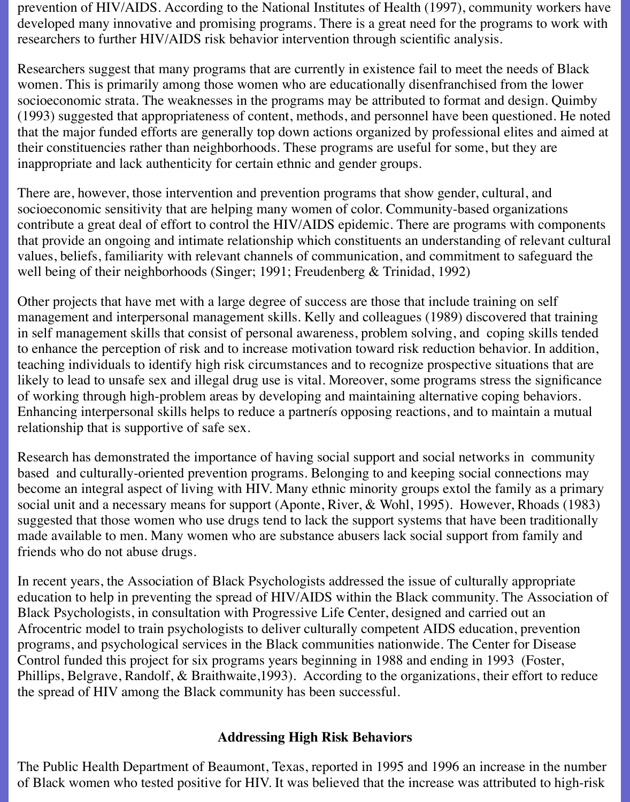prevention of HIV/AIDS. According to the National Institutes of Health (1997), community workers have developed many innovative and promising programs. There is a great need for the programs to work with researchers to further HIV/AIDS risk behavior intervention through scientific analysis.

Researchers suggest that many programs that are currently in existence fail to meet the needs of Black women. This is primarily among those women who are educationally disenfranchised from the lower socioeconomic strata. The weaknesses in the programs may be attributed to format and design. Quimby (1993) suggested that appropriateness of content, methods, and personnel have been questioned. He noted that the major funded efforts are generally top down actions organized by professional elites and aimed at their constituencies rather than neighborhoods. These programs are useful for some, but they are inappropriate and lack authenticity for certain ethnic and gender groups.

There are, however, those intervention and prevention programs that show gender, cultural, and socioeconomic sensitivity that are helping many women of color. Community-based organizations contribute a great deal of effort to control the HIV/AIDS epidemic. There are programs with components that provide an ongoing and intimate relationship which constituents an understanding of relevant cultural values, beliefs, familiarity with relevant channels of communication, and commitment to safeguard the well being of their neighborhoods (Singer; 1991; Freudenberg & Trinidad, 1992)

Other projects that have met with a large degree of success are those that include training on self management and interpersonal management skills. Kelly and colleagues (1989) discovered that training in self management skills that consist of personal awareness, problem solving, and coping skills tended to enhance the perception of risk and to increase motivation toward risk reduction behavior. In addition, teaching individuals to identify high risk circumstances and to recognize prospective situations that are likely to lead to unsafe sex and illegal drug use is vital. Moreover, some programs stress the significance of working through high-problem areas by developing and maintaining alternative coping behaviors. Enhancing interpersonal skills helps to reduce a partnerís opposing reactions, and to maintain a mutual relationship that is supportive of safe sex.

Research has demonstrated the importance of having social support and social networks in community based and culturally-oriented prevention programs. Belonging to and keeping social connections may become an integral aspect of living with HIV. Many ethnic minority groups extol the family as a primary social unit and a necessary means for support (Aponte, River, & Wohl, 1995). However, Rhoads (1983) suggested that those women who use drugs tend to lack the support systems that have been traditionally made available to men. Many women who are substance abusers lack social support from family and friends who do not abuse drugs.

In recent years, the Association of Black Psychologists addressed the issue of culturally appropriate education to help in preventing the spread of HIV/AIDS within the Black community. The Association of Black Psychologists, in consultation with Progressive Life Center, designed and carried out an Afrocentric model to train psychologists to deliver culturally competent AIDS education, prevention programs, and psychological services in the Black communities nationwide. The Center for Disease Control funded this project for six programs years beginning in 1988 and ending in 1993 (Foster, Phillips, Belgrave, Randolf, & Braithwaite,1993). According to the organizations, their effort to reduce the spread of HIV among the Black community has been successful.

### **Addressing High Risk Behaviors**

The Public Health Department of Beaumont, Texas, reported in 1995 and 1996 an increase in the number of Black women who tested positive for HIV. It was believed that the increase was attributed to high-risk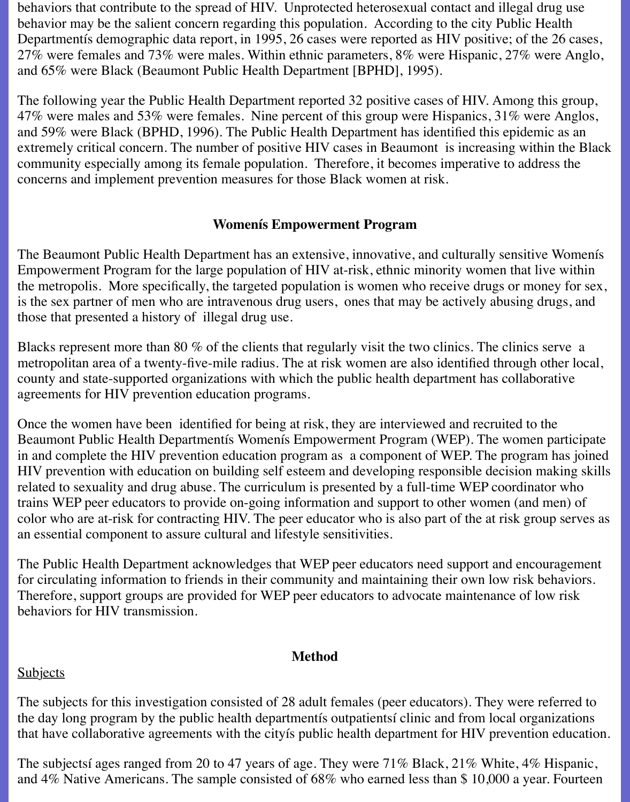behaviors that contribute to the spread of HIV. Unprotected heterosexual contact and illegal drug use behavior may be the salient concern regarding this population. According to the city Public Health Departmentís demographic data report, in 1995, 26 cases were reported as HIV positive; of the 26 cases, 27% were females and 73% were males. Within ethnic parameters, 8% were Hispanic, 27% were Anglo, and 65% were Black (Beaumont Public Health Department [BPHD], 1995).

The following year the Public Health Department reported 32 positive cases of HIV. Among this group, 47% were males and 53% were females. Nine percent of this group were Hispanics, 31% were Anglos, and 59% were Black (BPHD, 1996). The Public Health Department has identified this epidemic as an extremely critical concern. The number of positive HIV cases in Beaumont is increasing within the Black community especially among its female population. Therefore, it becomes imperative to address the concerns and implement prevention measures for those Black women at risk.

### **Womenís Empowerment Program**

The Beaumont Public Health Department has an extensive, innovative, and culturally sensitive Womenís Empowerment Program for the large population of HIV at-risk, ethnic minority women that live within the metropolis. More specifically, the targeted population is women who receive drugs or money for sex, is the sex partner of men who are intravenous drug users, ones that may be actively abusing drugs, and those that presented a history of illegal drug use.

Blacks represent more than 80 % of the clients that regularly visit the two clinics. The clinics serve a metropolitan area of a twenty-five-mile radius. The at risk women are also identified through other local, county and state-supported organizations with which the public health department has collaborative agreements for HIV prevention education programs.

Once the women have been identified for being at risk, they are interviewed and recruited to the Beaumont Public Health Departmentís Womenís Empowerment Program (WEP). The women participate in and complete the HIV prevention education program as a component of WEP. The program has joined HIV prevention with education on building self esteem and developing responsible decision making skills related to sexuality and drug abuse. The curriculum is presented by a full-time WEP coordinator who trains WEP peer educators to provide on-going information and support to other women (and men) of color who are at-risk for contracting HIV. The peer educator who is also part of the at risk group serves as an essential component to assure cultural and lifestyle sensitivities.

The Public Health Department acknowledges that WEP peer educators need support and encouragement for circulating information to friends in their community and maintaining their own low risk behaviors. Therefore, support groups are provided for WEP peer educators to advocate maintenance of low risk behaviors for HIV transmission.

### **Method**

### **Subjects**

The subjects for this investigation consisted of 28 adult females (peer educators). They were referred to the day long program by the public health departmentís outpatientsí clinic and from local organizations that have collaborative agreements with the cityís public health department for HIV prevention education.

The subjectsí ages ranged from 20 to 47 years of age. They were 71% Black, 21% White, 4% Hispanic, and 4% Native Americans. The sample consisted of 68% who earned less than \$ 10,000 a year. Fourteen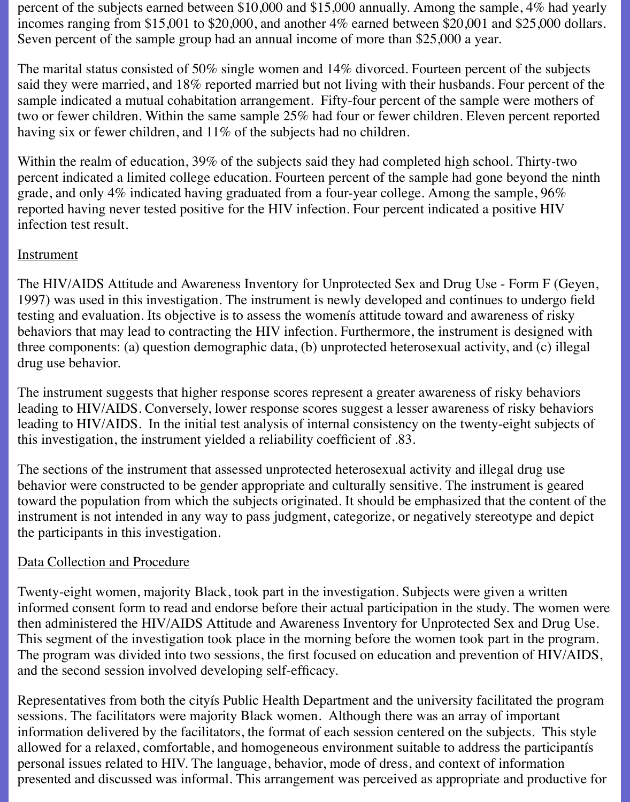percent of the subjects earned between \$10,000 and \$15,000 annually. Among the sample, 4% had yearly incomes ranging from \$15,001 to \$20,000, and another 4% earned between \$20,001 and \$25,000 dollars. Seven percent of the sample group had an annual income of more than \$25,000 a year.

The marital status consisted of 50% single women and 14% divorced. Fourteen percent of the subjects said they were married, and 18% reported married but not living with their husbands. Four percent of the sample indicated a mutual cohabitation arrangement. Fifty-four percent of the sample were mothers of two or fewer children. Within the same sample 25% had four or fewer children. Eleven percent reported having six or fewer children, and 11% of the subjects had no children.

Within the realm of education, 39% of the subjects said they had completed high school. Thirty-two percent indicated a limited college education. Fourteen percent of the sample had gone beyond the ninth grade, and only 4% indicated having graduated from a four-year college. Among the sample, 96% reported having never tested positive for the HIV infection. Four percent indicated a positive HIV infection test result.

### **Instrument**

The HIV/AIDS Attitude and Awareness Inventory for Unprotected Sex and Drug Use - Form F (Geyen, 1997) was used in this investigation. The instrument is newly developed and continues to undergo field testing and evaluation. Its objective is to assess the womenís attitude toward and awareness of risky behaviors that may lead to contracting the HIV infection. Furthermore, the instrument is designed with three components: (a) question demographic data, (b) unprotected heterosexual activity, and (c) illegal drug use behavior.

The instrument suggests that higher response scores represent a greater awareness of risky behaviors leading to HIV/AIDS. Conversely, lower response scores suggest a lesser awareness of risky behaviors leading to HIV/AIDS. In the initial test analysis of internal consistency on the twenty-eight subjects of this investigation, the instrument yielded a reliability coefficient of .83.

The sections of the instrument that assessed unprotected heterosexual activity and illegal drug use behavior were constructed to be gender appropriate and culturally sensitive. The instrument is geared toward the population from which the subjects originated. It should be emphasized that the content of the instrument is not intended in any way to pass judgment, categorize, or negatively stereotype and depict the participants in this investigation.

### Data Collection and Procedure

Twenty-eight women, majority Black, took part in the investigation. Subjects were given a written informed consent form to read and endorse before their actual participation in the study. The women were then administered the HIV/AIDS Attitude and Awareness Inventory for Unprotected Sex and Drug Use. This segment of the investigation took place in the morning before the women took part in the program. The program was divided into two sessions, the first focused on education and prevention of HIV/AIDS, and the second session involved developing self-efficacy.

Representatives from both the cityís Public Health Department and the university facilitated the program sessions. The facilitators were majority Black women. Although there was an array of important information delivered by the facilitators, the format of each session centered on the subjects. This style allowed for a relaxed, comfortable, and homogeneous environment suitable to address the participantís personal issues related to HIV. The language, behavior, mode of dress, and context of information presented and discussed was informal. This arrangement was perceived as appropriate and productive for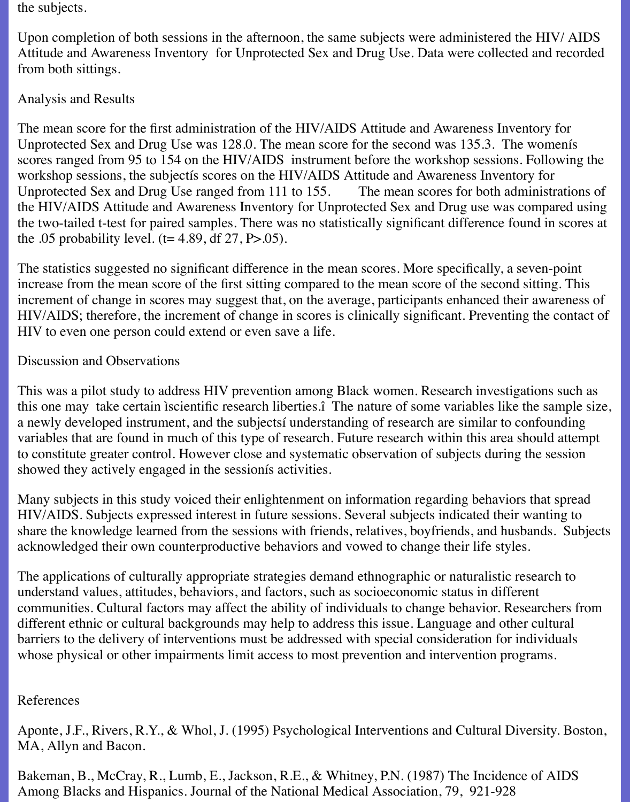the subjects.

Upon completion of both sessions in the afternoon, the same subjects were administered the HIV/ AIDS Attitude and Awareness Inventory for Unprotected Sex and Drug Use. Data were collected and recorded from both sittings.

## Analysis and Results

The mean score for the first administration of the HIV/AIDS Attitude and Awareness Inventory for Unprotected Sex and Drug Use was 128.0. The mean score for the second was 135.3. The womenís scores ranged from 95 to 154 on the HIV/AIDS instrument before the workshop sessions. Following the workshop sessions, the subjectís scores on the HIV/AIDS Attitude and Awareness Inventory for Unprotected Sex and Drug Use ranged from 111 to 155. The mean scores for both administrations of the HIV/AIDS Attitude and Awareness Inventory for Unprotected Sex and Drug use was compared using the two-tailed t-test for paired samples. There was no statistically significant difference found in scores at the .05 probability level.  $(t= 4.89, df 27, P > .05)$ .

The statistics suggested no significant difference in the mean scores. More specifically, a seven-point increase from the mean score of the first sitting compared to the mean score of the second sitting. This increment of change in scores may suggest that, on the average, participants enhanced their awareness of HIV/AIDS; therefore, the increment of change in scores is clinically significant. Preventing the contact of HIV to even one person could extend or even save a life.

### Discussion and Observations

This was a pilot study to address HIV prevention among Black women. Research investigations such as this one may take certain ìscientific research liberties.î The nature of some variables like the sample size, a newly developed instrument, and the subjectsí understanding of research are similar to confounding variables that are found in much of this type of research. Future research within this area should attempt to constitute greater control. However close and systematic observation of subjects during the session showed they actively engaged in the sessionís activities.

Many subjects in this study voiced their enlightenment on information regarding behaviors that spread HIV/AIDS. Subjects expressed interest in future sessions. Several subjects indicated their wanting to share the knowledge learned from the sessions with friends, relatives, boyfriends, and husbands. Subjects acknowledged their own counterproductive behaviors and vowed to change their life styles.

The applications of culturally appropriate strategies demand ethnographic or naturalistic research to understand values, attitudes, behaviors, and factors, such as socioeconomic status in different communities. Cultural factors may affect the ability of individuals to change behavior. Researchers from different ethnic or cultural backgrounds may help to address this issue. Language and other cultural barriers to the delivery of interventions must be addressed with special consideration for individuals whose physical or other impairments limit access to most prevention and intervention programs.

### References

Aponte, J.F., Rivers, R.Y., & Whol, J. (1995) Psychological Interventions and Cultural Diversity. Boston, MA, Allyn and Bacon.

Bakeman, B., McCray, R., Lumb, E., Jackson, R.E., & Whitney, P.N. (1987) The Incidence of AIDS Among Blacks and Hispanics. Journal of the National Medical Association, 79, 921-928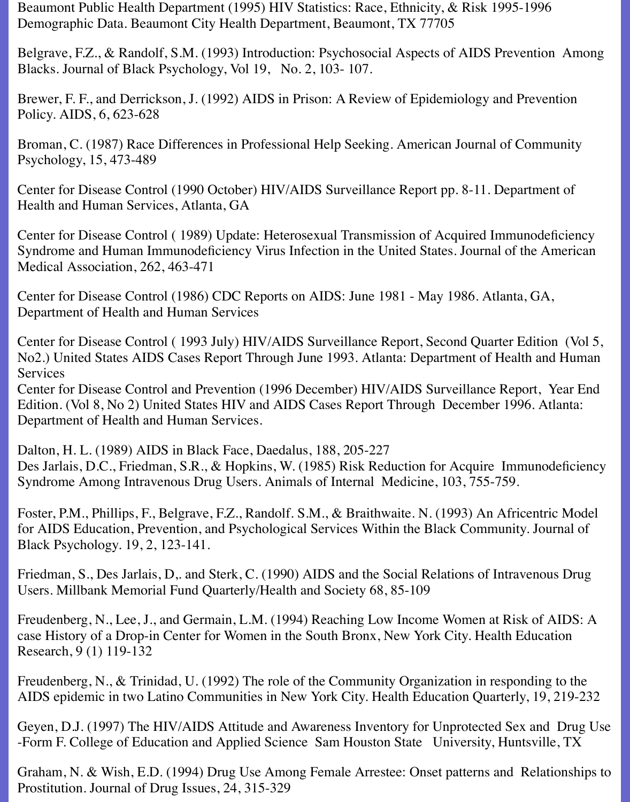Beaumont Public Health Department (1995) HIV Statistics: Race, Ethnicity, & Risk 1995-1996 Demographic Data. Beaumont City Health Department, Beaumont, TX 77705

Belgrave, F.Z., & Randolf, S.M. (1993) Introduction: Psychosocial Aspects of AIDS Prevention Among Blacks. Journal of Black Psychology, Vol 19, No. 2, 103- 107.

Brewer, F. F., and Derrickson, J. (1992) AIDS in Prison: A Review of Epidemiology and Prevention Policy. AIDS, 6, 623-628

Broman, C. (1987) Race Differences in Professional Help Seeking. American Journal of Community Psychology, 15, 473-489

Center for Disease Control (1990 October) HIV/AIDS Surveillance Report pp. 8-11. Department of Health and Human Services, Atlanta, GA

Center for Disease Control ( 1989) Update: Heterosexual Transmission of Acquired Immunodeficiency Syndrome and Human Immunodeficiency Virus Infection in the United States. Journal of the American Medical Association, 262, 463-471

Center for Disease Control (1986) CDC Reports on AIDS: June 1981 - May 1986. Atlanta, GA, Department of Health and Human Services

Center for Disease Control ( 1993 July) HIV/AIDS Surveillance Report, Second Quarter Edition (Vol 5, No2.) United States AIDS Cases Report Through June 1993. Atlanta: Department of Health and Human Services

Center for Disease Control and Prevention (1996 December) HIV/AIDS Surveillance Report, Year End Edition. (Vol 8, No 2) United States HIV and AIDS Cases Report Through December 1996. Atlanta: Department of Health and Human Services.

Dalton, H. L. (1989) AIDS in Black Face, Daedalus, 188, 205-227 Des Jarlais, D.C., Friedman, S.R., & Hopkins, W. (1985) Risk Reduction for Acquire Immunodeficiency Syndrome Among Intravenous Drug Users. Animals of Internal Medicine, 103, 755-759.

Foster, P.M., Phillips, F., Belgrave, F.Z., Randolf. S.M., & Braithwaite. N. (1993) An Africentric Model for AIDS Education, Prevention, and Psychological Services Within the Black Community. Journal of Black Psychology. 19, 2, 123-141.

Friedman, S., Des Jarlais, D,. and Sterk, C. (1990) AIDS and the Social Relations of Intravenous Drug Users. Millbank Memorial Fund Quarterly/Health and Society 68, 85-109

Freudenberg, N., Lee, J., and Germain, L.M. (1994) Reaching Low Income Women at Risk of AIDS: A case History of a Drop-in Center for Women in the South Bronx, New York City. Health Education Research, 9 (1) 119-132

Freudenberg, N., & Trinidad, U. (1992) The role of the Community Organization in responding to the AIDS epidemic in two Latino Communities in New York City. Health Education Quarterly, 19, 219-232

Geyen, D.J. (1997) The HIV/AIDS Attitude and Awareness Inventory for Unprotected Sex and Drug Use -Form F. College of Education and Applied Science Sam Houston State University, Huntsville, TX

Graham, N. & Wish, E.D. (1994) Drug Use Among Female Arrestee: Onset patterns and Relationships to Prostitution. Journal of Drug Issues, 24, 315-329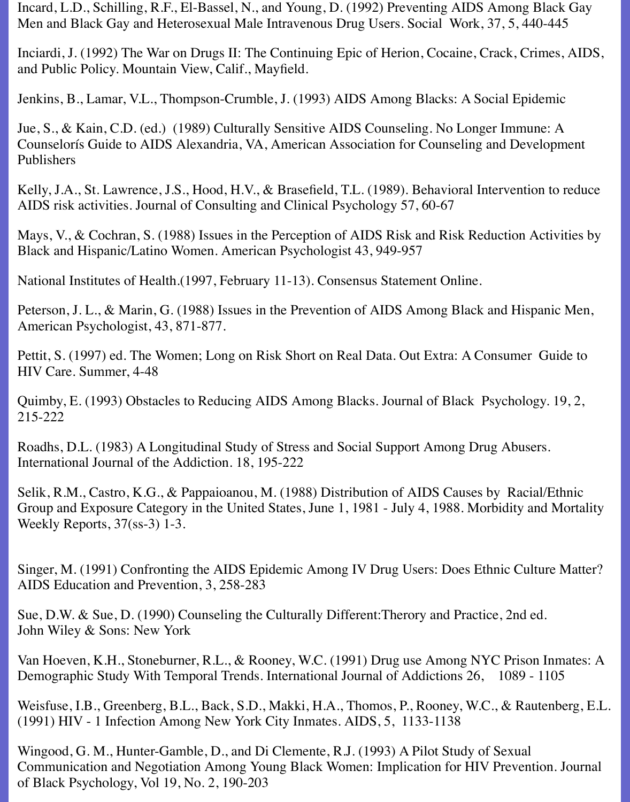Incard, L.D., Schilling, R.F., El-Bassel, N., and Young, D. (1992) Preventing AIDS Among Black Gay Men and Black Gay and Heterosexual Male Intravenous Drug Users. Social Work, 37, 5, 440-445

Inciardi, J. (1992) The War on Drugs II: The Continuing Epic of Herion, Cocaine, Crack, Crimes, AIDS, and Public Policy. Mountain View, Calif., Mayfield.

Jenkins, B., Lamar, V.L., Thompson-Crumble, J. (1993) AIDS Among Blacks: A Social Epidemic

Jue, S., & Kain, C.D. (ed.) (1989) Culturally Sensitive AIDS Counseling. No Longer Immune: A Counselorís Guide to AIDS Alexandria, VA, American Association for Counseling and Development Publishers

Kelly, J.A., St. Lawrence, J.S., Hood, H.V., & Brasefield, T.L. (1989). Behavioral Intervention to reduce AIDS risk activities. Journal of Consulting and Clinical Psychology 57, 60-67

Mays, V., & Cochran, S. (1988) Issues in the Perception of AIDS Risk and Risk Reduction Activities by Black and Hispanic/Latino Women. American Psychologist 43, 949-957

National Institutes of Health.(1997, February 11-13). Consensus Statement Online.

Peterson, J. L., & Marin, G. (1988) Issues in the Prevention of AIDS Among Black and Hispanic Men, American Psychologist, 43, 871-877.

Pettit, S. (1997) ed. The Women; Long on Risk Short on Real Data. Out Extra: A Consumer Guide to HIV Care. Summer, 4-48

Quimby, E. (1993) Obstacles to Reducing AIDS Among Blacks. Journal of Black Psychology. 19, 2, 215-222

Roadhs, D.L. (1983) A Longitudinal Study of Stress and Social Support Among Drug Abusers. International Journal of the Addiction. 18, 195-222

Selik, R.M., Castro, K.G., & Pappaioanou, M. (1988) Distribution of AIDS Causes by Racial/Ethnic Group and Exposure Category in the United States, June 1, 1981 - July 4, 1988. Morbidity and Mortality Weekly Reports, 37(ss-3) 1-3.

Singer, M. (1991) Confronting the AIDS Epidemic Among IV Drug Users: Does Ethnic Culture Matter? AIDS Education and Prevention, 3, 258-283

Sue, D.W. & Sue, D. (1990) Counseling the Culturally Different:Therory and Practice, 2nd ed. John Wiley & Sons: New York

Van Hoeven, K.H., Stoneburner, R.L., & Rooney, W.C. (1991) Drug use Among NYC Prison Inmates: A Demographic Study With Temporal Trends. International Journal of Addictions 26, 1089 - 1105

Weisfuse, I.B., Greenberg, B.L., Back, S.D., Makki, H.A., Thomos, P., Rooney, W.C., & Rautenberg, E.L. (1991) HIV - 1 Infection Among New York City Inmates. AIDS, 5, 1133-1138

Wingood, G. M., Hunter-Gamble, D., and Di Clemente, R.J. (1993) A Pilot Study of Sexual Communication and Negotiation Among Young Black Women: Implication for HIV Prevention. Journal of Black Psychology, Vol 19, No. 2, 190-203